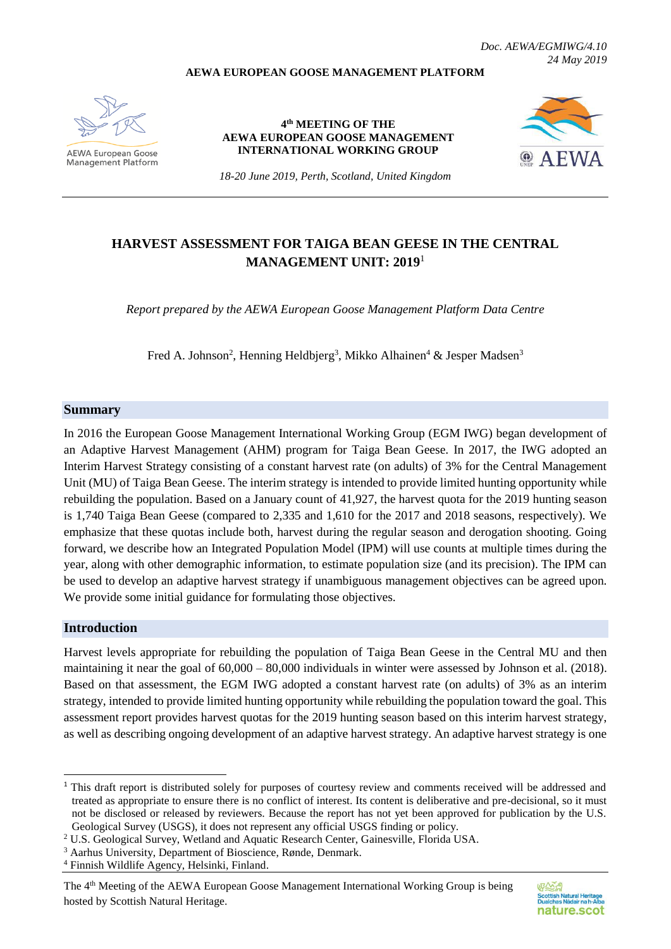#### **AEWA EUROPEAN GOOSE MANAGEMENT PLATFORM**

*Doc. AEWA/EGMIWG/4.10 24 May 2019*

AFWA European Goose **Management Platform** 

**4 th MEETING OF THE AEWA EUROPEAN GOOSE MANAGEMENT INTERNATIONAL WORKING GROUP**



*18-20 June 2019, Perth, Scotland, United Kingdom*

# **HARVEST ASSESSMENT FOR TAIGA BEAN GEESE IN THE CENTRAL MANAGEMENT UNIT: 2019** 1

*Report prepared by the AEWA European Goose Management Platform Data Centre*

Fred A. Johnson<sup>2</sup>, Henning Heldbjerg<sup>3</sup>, Mikko Alhainen<sup>4</sup> & Jesper Madsen<sup>3</sup>

#### **Summary**

In 2016 the European Goose Management International Working Group (EGM IWG) began development of an Adaptive Harvest Management (AHM) program for Taiga Bean Geese. In 2017, the IWG adopted an Interim Harvest Strategy consisting of a constant harvest rate (on adults) of 3% for the Central Management Unit (MU) of Taiga Bean Geese. The interim strategy is intended to provide limited hunting opportunity while rebuilding the population. Based on a January count of 41,927, the harvest quota for the 2019 hunting season is 1,740 Taiga Bean Geese (compared to 2,335 and 1,610 for the 2017 and 2018 seasons, respectively). We emphasize that these quotas include both, harvest during the regular season and derogation shooting. Going forward, we describe how an Integrated Population Model (IPM) will use counts at multiple times during the year, along with other demographic information, to estimate population size (and its precision). The IPM can be used to develop an adaptive harvest strategy if unambiguous management objectives can be agreed upon. We provide some initial guidance for formulating those objectives.

### **Introduction**

1

Harvest levels appropriate for rebuilding the population of Taiga Bean Geese in the Central MU and then maintaining it near the goal of 60,000 – 80,000 individuals in winter were assessed by Johnson et al. (2018). Based on that assessment, the EGM IWG adopted a constant harvest rate (on adults) of 3% as an interim strategy, intended to provide limited hunting opportunity while rebuilding the population toward the goal. This assessment report provides harvest quotas for the 2019 hunting season based on this interim harvest strategy, as well as describing ongoing development of an adaptive harvest strategy. An adaptive harvest strategy is one

<sup>&</sup>lt;sup>1</sup> This draft report is distributed solely for purposes of courtesy review and comments received will be addressed and treated as appropriate to ensure there is no conflict of interest. Its content is deliberative and pre-decisional, so it must not be disclosed or released by reviewers. Because the report has not yet been approved for publication by the U.S. Geological Survey (USGS), it does not represent any official USGS finding or policy.

<sup>2</sup> U.S. Geological Survey, Wetland and Aquatic Research Center, Gainesville, Florida USA.

<sup>3</sup> Aarhus University, Department of Bioscience, Rønde, Denmark.

<sup>4</sup> Finnish Wildlife Agency, Helsinki, Finland.

The 4<sup>th</sup> Meeting of the AEWA European Goose Management International Working Group is being hosted by Scottish Natural Heritage.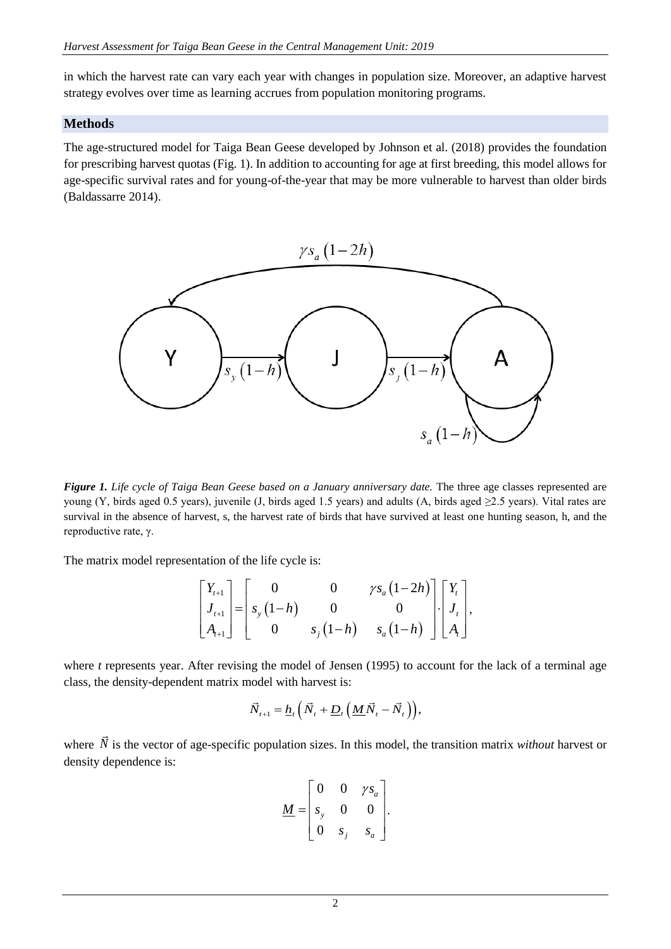in which the harvest rate can vary each year with changes in population size. Moreover, an adaptive harvest strategy evolves over time as learning accrues from population monitoring programs.

#### **Methods**

The age-structured model for Taiga Bean Geese developed by Johnson et al. (2018) provides the foundation for prescribing harvest quotas (Fig. 1). In addition to accounting for age at first breeding, this model allows for age-specific survival rates and for young-of-the-year that may be more vulnerable to harvest than older birds (Baldassarre 2014).



*Figure 1. Life cycle of Taiga Bean Geese based on a January anniversary date.* The three age classes represented are young (Y, birds aged 0.5 years), juvenile (J, birds aged 1.5 years) and adults (A, birds aged  $\geq$ 2.5 years). Vital rates are survival in the absence of harvest, s, the harvest rate of birds that have survived at least one hunting season, h, and the reproductive rate, γ.

The matrix model representation of the life cycle is:

$$
\begin{bmatrix} Y_{t+1} \\ J_{t+1} \\ A_{t+1} \end{bmatrix} = \begin{bmatrix} 0 & 0 & \gamma s_a (1-2h) \\ s_y (1-h) & 0 & 0 \\ 0 & s_y (1-h) & s_a (1-h) \end{bmatrix} \begin{bmatrix} Y_t \\ J_t \\ A_t \end{bmatrix},
$$

where *t* represents year. After revising the model of Jensen (1995) to account for the lack of a terminal age class, the density-dependent matrix model with harvest is:

$$
\vec{N}_{t+1} = \underline{h}_t \left( \vec{N}_t + \underline{D}_t \left( \underline{M} \vec{N}_t - \vec{N}_t \right) \right),
$$

where N is the vector of age-specific population sizes. In this model, the transition matrix *without* harvest or density dependence is:

$$
\underline{M} = \begin{bmatrix} 0 & 0 & \gamma s_a \\ s_y & 0 & 0 \\ 0 & s_j & s_a \end{bmatrix}.
$$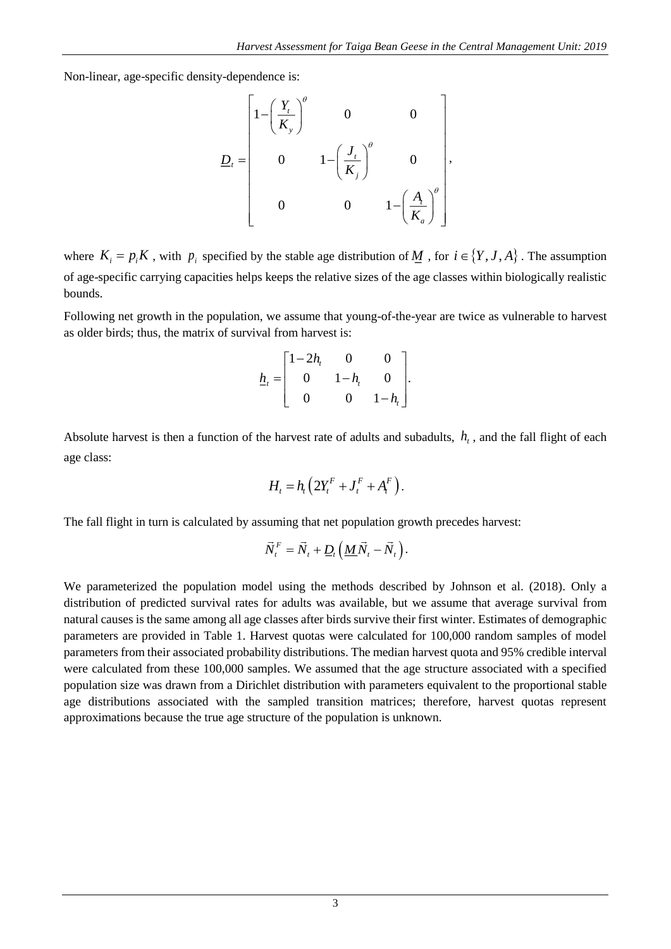Non-linear, age-specific density-dependence is:

$$
\underline{D}_{t} = \begin{bmatrix} 1 - \left(\frac{Y_{t}}{K_{y}}\right)^{\theta} & 0 & 0 \\ 0 & 1 - \left(\frac{J_{t}}{K_{j}}\right)^{\theta} & 0 \\ 0 & 0 & 1 - \left(\frac{A_{t}}{K_{a}}\right)^{\theta} \end{bmatrix},
$$

where  $K_i = p_i K$ , with  $p_i$  specified by the stable age distribution of  $M$ , for  $i \in \{Y, J, A\}$ . The assumption of age-specific carrying capacities helps keeps the relative sizes of the age classes within biologically realistic bounds.

Following net growth in the population, we assume that young-of-the-year are twice as vulnerable to harvest as older birds; thus, the matrix of survival from harvest is:

$$
\underline{h}_t = \begin{bmatrix} 1-2h_t & 0 & 0 \\ 0 & 1-h_t & 0 \\ 0 & 0 & 1-h_t \end{bmatrix}.
$$

Absolute harvest is then a function of the harvest rate of adults and subadults,  $h_t$ , and the fall flight of each age class:

$$
H_t = h_t \left( 2Y_t^F + J_t^F + A_t^F \right).
$$

The fall flight in turn is calculated by assuming that net population growth precedes harvest:

$$
\vec{N}_t^F = \vec{N}_t + \underline{D}_t \left( \underline{M} \vec{N}_t - \vec{N}_t \right).
$$

We parameterized the population model using the methods described by Johnson et al. (2018). Only a distribution of predicted survival rates for adults was available, but we assume that average survival from natural causes is the same among all age classes after birds survive their first winter. Estimates of demographic parameters are provided in Table 1. Harvest quotas were calculated for 100,000 random samples of model parameters from their associated probability distributions. The median harvest quota and 95% credible interval were calculated from these 100,000 samples. We assumed that the age structure associated with a specified population size was drawn from a Dirichlet distribution with parameters equivalent to the proportional stable age distributions associated with the sampled transition matrices; therefore, harvest quotas represent approximations because the true age structure of the population is unknown.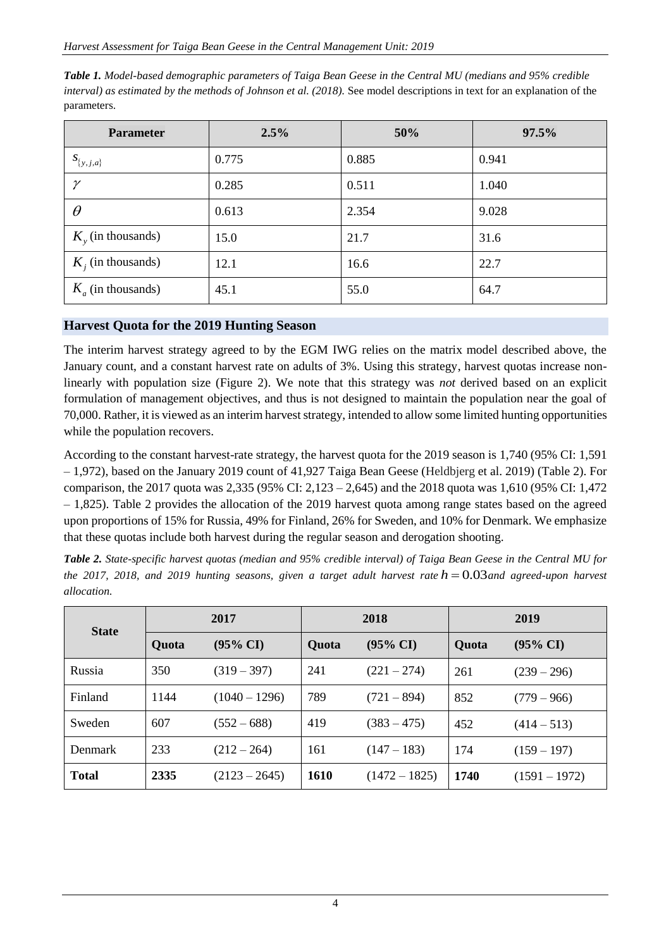| <b>Parameter</b>       | 2.5%  | 50%   | 97.5% |
|------------------------|-------|-------|-------|
| $S_{\{y,j,a\}}$        | 0.775 | 0.885 | 0.941 |
| $\gamma$               | 0.285 | 0.511 | 1.040 |
| $\theta$               | 0.613 | 2.354 | 9.028 |
| $K_{v}$ (in thousands) | 15.0  | 21.7  | 31.6  |
| $K_i$ (in thousands)   | 12.1  | 16.6  | 22.7  |
| $K_a$ (in thousands)   | 45.1  | 55.0  | 64.7  |

*Table 1. Model-based demographic parameters of Taiga Bean Geese in the Central MU (medians and 95% credible interval) as estimated by the methods of Johnson et al.* (2018). See model descriptions in text for an explanation of the parameters.

## **Harvest Quota for the 2019 Hunting Season**

The interim harvest strategy agreed to by the EGM IWG relies on the matrix model described above, the January count, and a constant harvest rate on adults of 3%. Using this strategy, harvest quotas increase nonlinearly with population size (Figure 2). We note that this strategy was *not* derived based on an explicit formulation of management objectives, and thus is not designed to maintain the population near the goal of 70,000. Rather, it is viewed as an interim harvest strategy, intended to allow some limited hunting opportunities while the population recovers.

According to the constant harvest-rate strategy, the harvest quota for the 2019 season is 1,740 (95% CI: 1,591 – 1,972), based on the January 2019 count of 41,927 Taiga Bean Geese (Heldbjerg et al. 2019) (Table 2). For comparison, the 2017 quota was 2,335 (95% CI: 2,123 – 2,645) and the 2018 quota was 1,610 (95% CI: 1,472 – 1,825). Table 2 provides the allocation of the 2019 harvest quota among range states based on the agreed upon proportions of 15% for Russia, 49% for Finland, 26% for Sweden, and 10% for Denmark. We emphasize that these quotas include both harvest during the regular season and derogation shooting.

*Table 2. State-specific harvest quotas (median and 95% credible interval) of Taiga Bean Geese in the Central MU for*  the 2017, 2018, and 2019 hunting seasons, given a target adult harvest rate  $h = 0.03$  and agreed-upon harvest *allocation.*

| <b>State</b>   | 2017  |                     | 2018        |                     | 2019         |                     |
|----------------|-------|---------------------|-------------|---------------------|--------------|---------------------|
|                | Quota | $(95\% \text{ CI})$ | Quota       | $(95\% \text{ CI})$ | <b>Quota</b> | $(95\% \text{ CI})$ |
| Russia         | 350   | $(319 - 397)$       | 241         | $(221 - 274)$       | 261          | $(239 - 296)$       |
| Finland        | 1144  | $(1040 - 1296)$     | 789         | $(721 - 894)$       | 852          | $(779 - 966)$       |
| Sweden         | 607   | $(552 - 688)$       | 419         | $(383 - 475)$       | 452          | $(414 - 513)$       |
| <b>Denmark</b> | 233   | (212 – 264)         | 161         | $(147 - 183)$       | 174          | $(159 - 197)$       |
| <b>Total</b>   | 2335  | $(2123 - 2645)$     | <b>1610</b> | $(1472 - 1825)$     | 1740         | $(1591 - 1972)$     |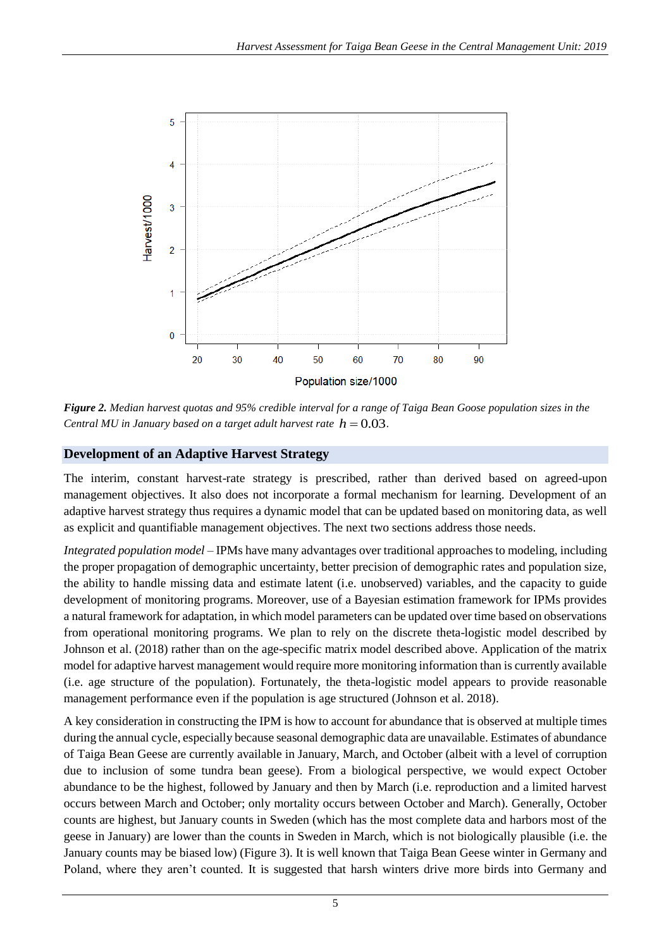

*Figure 2. Median harvest quotas and 95% credible interval for a range of Taiga Bean Goose population sizes in the Central MU in January based on a target adult harvest rate*  $h = 0.03$ .

# **Development of an Adaptive Harvest Strategy**

The interim, constant harvest-rate strategy is prescribed, rather than derived based on agreed-upon management objectives. It also does not incorporate a formal mechanism for learning. Development of an adaptive harvest strategy thus requires a dynamic model that can be updated based on monitoring data, as well as explicit and quantifiable management objectives. The next two sections address those needs.

*Integrated population model* – IPMs have many advantages over traditional approaches to modeling, including the proper propagation of demographic uncertainty, better precision of demographic rates and population size, the ability to handle missing data and estimate latent (i.e. unobserved) variables, and the capacity to guide development of monitoring programs. Moreover, use of a Bayesian estimation framework for IPMs provides a natural framework for adaptation, in which model parameters can be updated over time based on observations from operational monitoring programs. We plan to rely on the discrete theta-logistic model described by Johnson et al. (2018) rather than on the age-specific matrix model described above. Application of the matrix model for adaptive harvest management would require more monitoring information than is currently available (i.e. age structure of the population). Fortunately, the theta-logistic model appears to provide reasonable management performance even if the population is age structured (Johnson et al. 2018).

A key consideration in constructing the IPM is how to account for abundance that is observed at multiple times during the annual cycle, especially because seasonal demographic data are unavailable. Estimates of abundance of Taiga Bean Geese are currently available in January, March, and October (albeit with a level of corruption due to inclusion of some tundra bean geese). From a biological perspective, we would expect October abundance to be the highest, followed by January and then by March (i.e. reproduction and a limited harvest occurs between March and October; only mortality occurs between October and March). Generally, October counts are highest, but January counts in Sweden (which has the most complete data and harbors most of the geese in January) are lower than the counts in Sweden in March, which is not biologically plausible (i.e. the January counts may be biased low) (Figure 3). It is well known that Taiga Bean Geese winter in Germany and Poland, where they aren't counted. It is suggested that harsh winters drive more birds into Germany and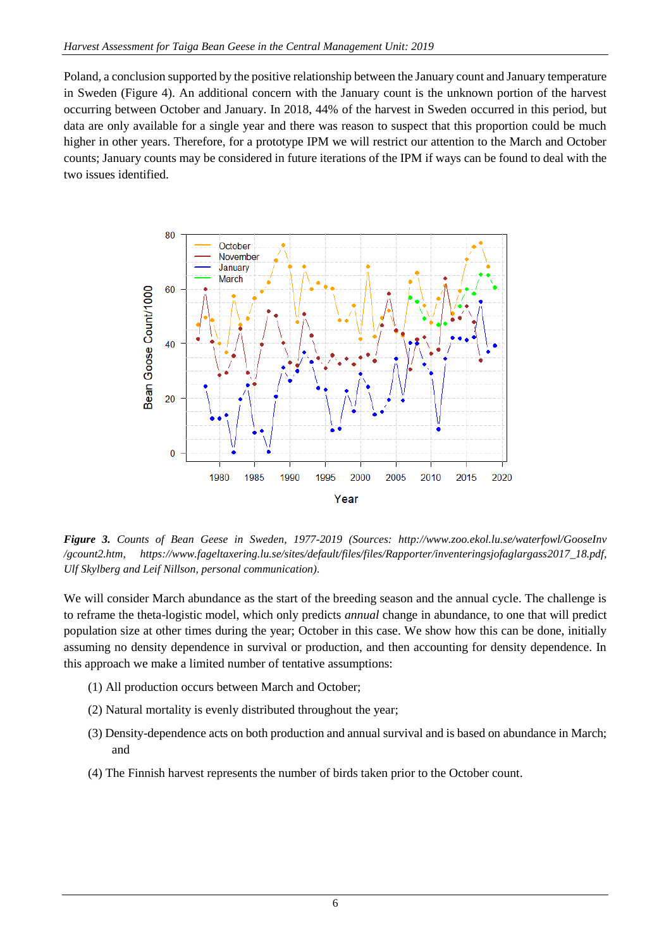Poland, a conclusion supported by the positive relationship between the January count and January temperature in Sweden (Figure 4). An additional concern with the January count is the unknown portion of the harvest occurring between October and January. In 2018, 44% of the harvest in Sweden occurred in this period, but data are only available for a single year and there was reason to suspect that this proportion could be much higher in other years. Therefore, for a prototype IPM we will restrict our attention to the March and October counts; January counts may be considered in future iterations of the IPM if ways can be found to deal with the two issues identified.



*Figure 3. Counts of Bean Geese in Sweden, 1977-2019 (Sources: http://www.zoo.ekol.lu.se/waterfowl/GooseInv /gcount2.htm, https://www.fageltaxering.lu.se/sites/default/files/files/Rapporter/inventeringsjofaglargass2017\_18.pdf, Ulf Skylberg and Leif Nillson, personal communication).*

We will consider March abundance as the start of the breeding season and the annual cycle. The challenge is to reframe the theta-logistic model, which only predicts *annual* change in abundance, to one that will predict population size at other times during the year; October in this case. We show how this can be done, initially assuming no density dependence in survival or production, and then accounting for density dependence. In this approach we make a limited number of tentative assumptions:

- (1) All production occurs between March and October;
- (2) Natural mortality is evenly distributed throughout the year;
- (3) Density-dependence acts on both production and annual survival and is based on abundance in March; and
- (4) The Finnish harvest represents the number of birds taken prior to the October count.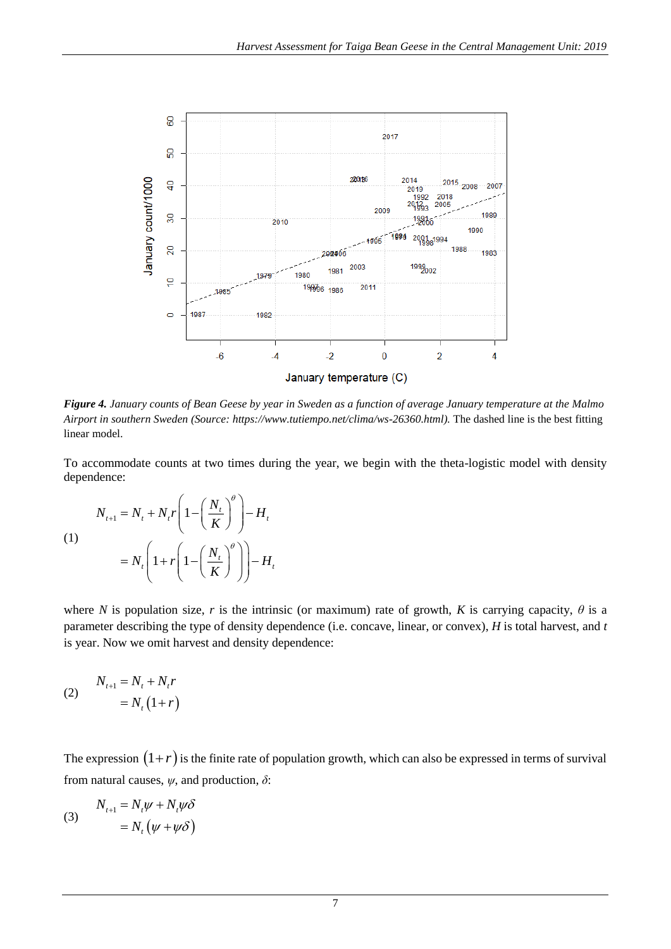

*Figure 4. January counts of Bean Geese by year in Sweden as a function of average January temperature at the Malmo Airport in southern Sweden (Source: https://www.tutiempo.net/clima/ws-26360.html).* The dashed line is the best fitting linear model.

To accommodate counts at two times during the year, we begin with the theta-logistic model with density dependence:

$$
N_{t+1} = N_t + N_t r \left( 1 - \left( \frac{N_t}{K} \right)^{\theta} \right) - H_t
$$
  
(1)  

$$
= N_t \left( 1 + r \left( 1 - \left( \frac{N_t}{K} \right)^{\theta} \right) \right) - H_t
$$

where *N* is population size, *r* is the intrinsic (or maximum) rate of growth, *K* is carrying capacity,  $\theta$  is a parameter describing the type of density dependence (i.e. concave, linear, or convex), *H* is total harvest, and *t* is year. Now we omit harvest and density dependence:

$$
N_{t+1} = N_t + N_t r
$$
  

$$
= N_t (1+r)
$$

The expression  $(1+r)$  is the finite rate of population growth, which can also be expressed in terms of survival from natural causes, *ψ*, and production, *δ*:

(3) 
$$
N_{t+1} = N_t \psi + N_t \psi \delta
$$

$$
= N_t (\psi + \psi \delta)
$$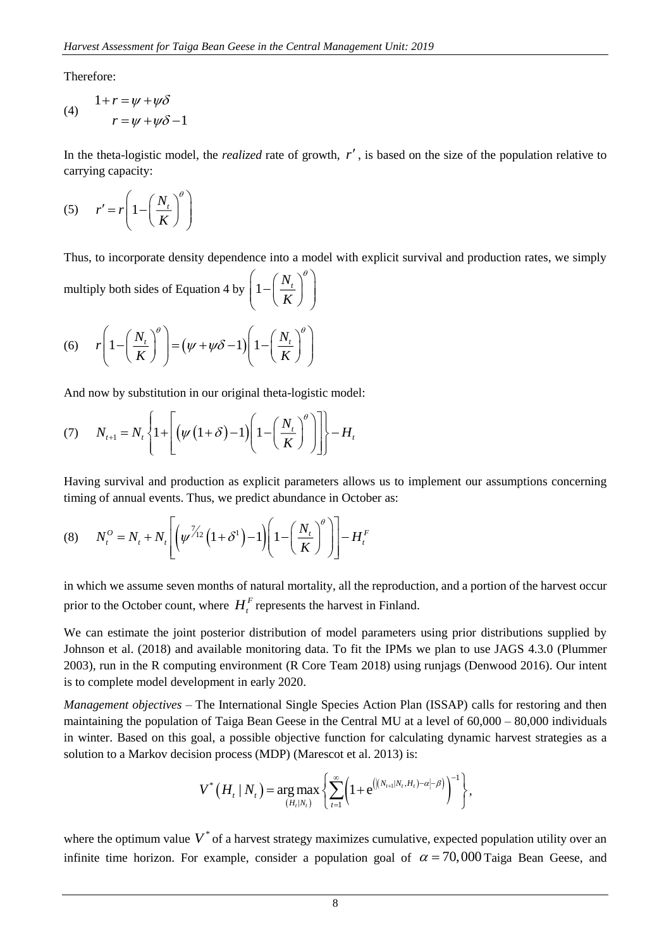Therefore:

(4) 
$$
1 + r = \psi + \psi \delta
$$

$$
r = \psi + \psi \delta - 1
$$

In the theta-logistic model, the *realized* rate of growth,  $r'$ , is based on the size of the population relative to carrying capacity:

$$
(5) \qquad r' = r \left( 1 - \left( \frac{N_t}{K} \right)^{\theta} \right)
$$

Thus, to incorporate density dependence into a model with explicit survival and production rates, we simply

multiply both sides of Equation 4 by 
$$
\left(1 - \left(\frac{N_t}{K}\right)^{\theta}\right)
$$

(6) 
$$
r\left(1-\left(\frac{N_t}{K}\right)^{\theta}\right) = (\psi + \psi \delta - 1)\left(1-\left(\frac{N_t}{K}\right)^{\theta}\right)
$$

And now by substitution in our original theta-logistic model:

$$
(7) \qquad N_{t+1} = N_t \left\{ 1 + \left[ \left( \psi \left( 1 + \delta \right) - 1 \right) \left( 1 - \left( \frac{N_t}{K} \right)^{\theta} \right) \right] \right\} - H_t
$$

Having survival and production as explicit parameters allows us to implement our assumptions concerning timing of annual events. Thus, we predict abundance in October as:

(8) 
$$
N_t^0 = N_t + N_t \left[ \left( \psi^{\frac{\gamma}{\gamma_{12}}} \left( 1 + \delta^1 \right) - 1 \right) \left( 1 - \left( \frac{N_t}{K} \right)^{\theta} \right) \right] - H_t^F
$$

in which we assume seven months of natural mortality, all the reproduction, and a portion of the harvest occur prior to the October count, where  $H_t^F$  represents the harvest in Finland.

We can estimate the joint posterior distribution of model parameters using prior distributions supplied by Johnson et al. (2018) and available monitoring data. To fit the IPMs we plan to use JAGS 4.3.0 (Plummer 2003), run in the R computing environment (R Core Team 2018) using runjags (Denwood 2016). Our intent is to complete model development in early 2020.

*Management objectives –* The International Single Species Action Plan (ISSAP) calls for restoring and then maintaining the population of Taiga Bean Geese in the Central MU at a level of 60,000 – 80,000 individuals in winter. Based on this goal, a possible objective function for calculating dynamic harvest strategies as a solution to a Markov decision process (MDP) (Marescot et al. 2013) is:

$$
V^*\left(H_{t} | N_{t}\right) = \underset{(H_{t} | N_{t})}{\arg \max} \left\{ \sum_{t=1}^{\infty} \left(1 + e^{\left( | (N_{t+1} | N_{t}, H_{t}) - \alpha | - \beta \right)}\right)^{-1} \right\},
$$

where the optimum value  $V^*$  of a harvest strategy maximizes cumulative, expected population utility over an infinite time horizon. For example, consider a population goal of  $\alpha = 70,000$  Taiga Bean Geese, and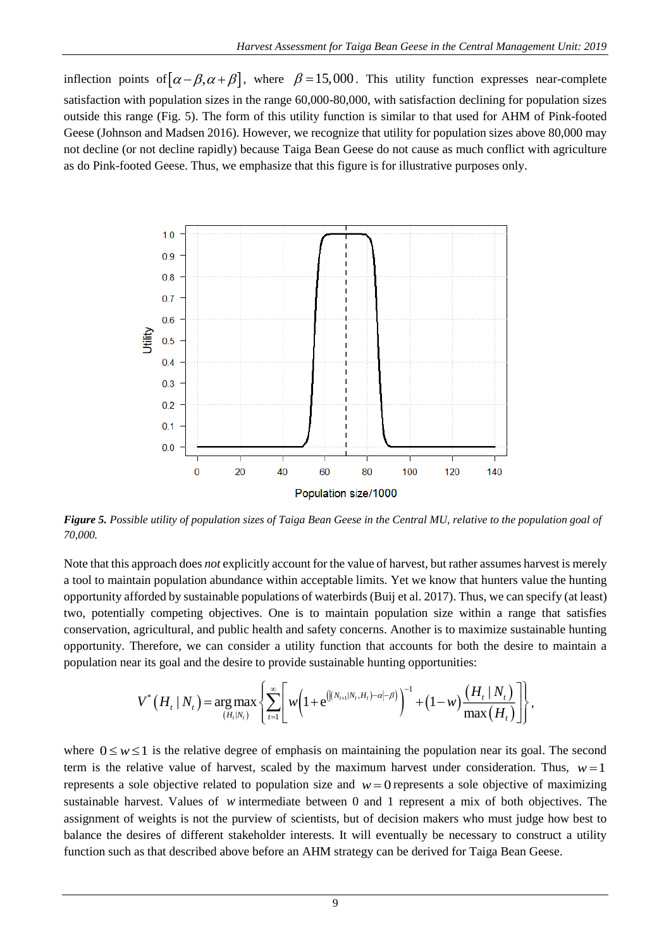inflection points of  $[\alpha-\beta,\alpha+\beta]$ , where  $\beta=15,000$ . This utility function expresses near-complete satisfaction with population sizes in the range 60,000-80,000, with satisfaction declining for population sizes outside this range (Fig. 5). The form of this utility function is similar to that used for AHM of Pink-footed Geese (Johnson and Madsen 2016). However, we recognize that utility for population sizes above 80,000 may not decline (or not decline rapidly) because Taiga Bean Geese do not cause as much conflict with agriculture as do Pink-footed Geese. Thus, we emphasize that this figure is for illustrative purposes only.



*Figure 5. Possible utility of population sizes of Taiga Bean Geese in the Central MU, relative to the population goal of 70,000.*

Note that this approach does *not* explicitly account for the value of harvest, but rather assumes harvest is merely a tool to maintain population abundance within acceptable limits. Yet we know that hunters value the hunting opportunity afforded by sustainable populations of waterbirds (Buij et al. 2017). Thus, we can specify (at least) two, potentially competing objectives. One is to maintain population size within a range that satisfies conservation, agricultural, and public health and safety concerns. Another is to maximize sustainable hunting opportunity. Therefore, we can consider a utility function that accounts for both the desire to maintain a population near its goal and the desire to provide sustainable hunting opportunities:

$$
V^*\left(H_t \mid N_t\right) = \underset{(H_t \mid N_t)}{\arg \max} \left\{ \sum_{t=1}^{\infty} \left[ w \left(1 + e^{\left( \left|(N_{t+1} \mid N_t, H_t) - \alpha \right| - \beta \right)} \right)^{-1} + \left(1 - w\right) \frac{\left(H_t \mid N_t\right)}{\max\left(H_t\right)} \right] \right\},
$$

where  $0 \le w \le 1$  is the relative degree of emphasis on maintaining the population near its goal. The second term is the relative value of harvest, scaled by the maximum harvest under consideration. Thus,  $w = 1$ represents a sole objective related to population size and  $w = 0$  represents a sole objective of maximizing sustainable harvest. Values of *w* intermediate between 0 and 1 represent a mix of both objectives. The assignment of weights is not the purview of scientists, but of decision makers who must judge how best to balance the desires of different stakeholder interests. It will eventually be necessary to construct a utility function such as that described above before an AHM strategy can be derived for Taiga Bean Geese.